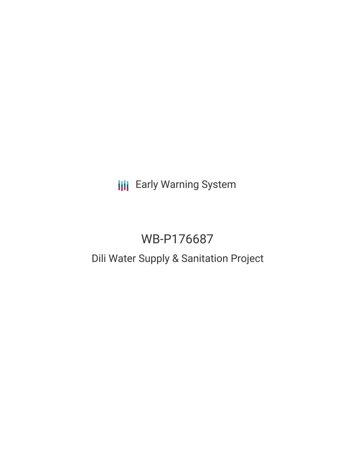# **III** Early Warning System

# WB-P176687

# Dili Water Supply & Sanitation Project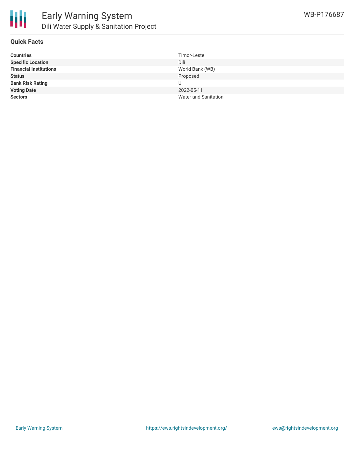

## **Quick Facts**

| <b>Countries</b>              | Timor-Leste          |
|-------------------------------|----------------------|
| <b>Specific Location</b>      | Dili                 |
| <b>Financial Institutions</b> | World Bank (WB)      |
| <b>Status</b>                 | Proposed             |
| <b>Bank Risk Rating</b>       | U                    |
| <b>Voting Date</b>            | 2022-05-11           |
| <b>Sectors</b>                | Water and Sanitation |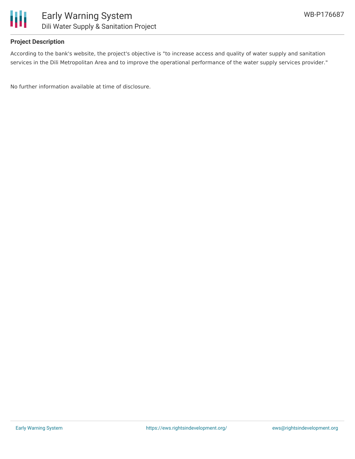

## **Project Description**

According to the bank's website, the project's objective is "to increase access and quality of water supply and sanitation services in the Dili Metropolitan Area and to improve the operational performance of the water supply services provider."

No further information available at time of disclosure.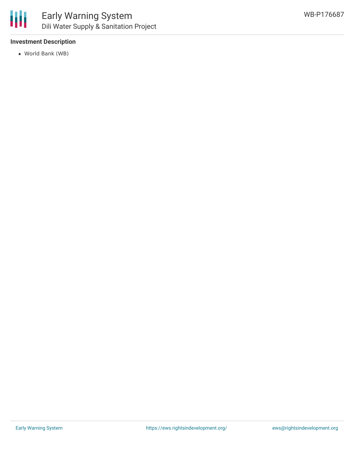

## **Investment Description**

World Bank (WB)